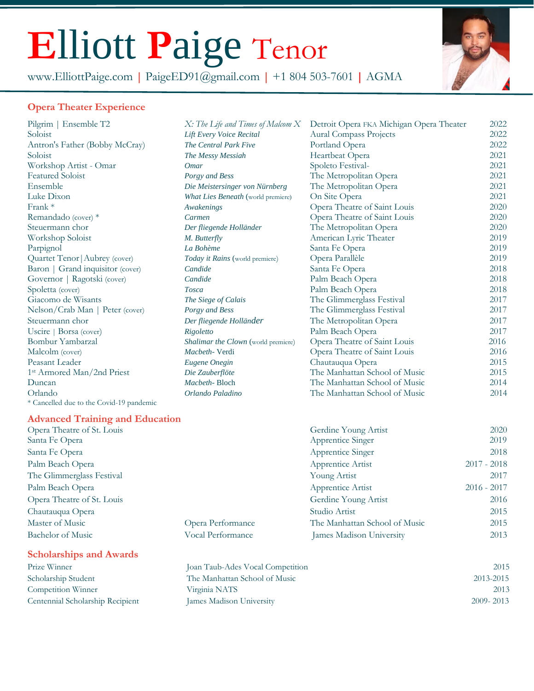# **E**lliott **P**aige Tenor

www.ElliottPaige.com **|** [PaigeED91@gmail.com](mailto:PaigeED91@gmail.com%7C) **|** +1 804 503-7601 **|** AGMA



#### **Opera Theater Experience**

1st Armored Man/2nd Priest Orlando *Orlando Paladino* The Manhattan School of Music 2014 \* Cancelled due to the Covid-19 pandemic

#### Pilgrim | Ensemble T2 *X: The Life and Times of Malcom X* Detroit Opera FKA Michigan Opera Theater 2022 Soloist *Lift Every Voice Recital* Aural Compass Projects 2022 Antron's Father (Bobby McCray) *The Central Park Five* Portland Opera 2022 Soloist *The Messy Messiah* Heartbeat Opera 2021 Workshop Artist - Omar *Omar* Spoleto Festival- 2021 Featured Soloist *Porgy and Bess* The Metropolitan Opera 2021 Ensemble *Die Meistersinger von Nürnberg* The Metropolitan Opera 2021 Luke Dixon *What Lies Beneath* (world premiere) On Site Opera 2021 Frank \* *Awakenings* Opera Theatre of Saint Louis 2020 Remandado (cover) \* *Carmen* Opera Theatre of Saint Louis 2020 Steuermann chor *Der fliegende Holländer* The Metropolitan Opera 2020 Workshop Soloist **M. Butterfly American Lyric Theater** 2019 Parpignol *La Bohème* Santa Fe Opera 2019 Quartet Tenor|Aubrey (cover) *Today it Rains* (world premiere) Opera Parallèle 2019 Baron | Grand inquisitor (cover) *Candide* Santa Fe Opera 2018<br>
Governor | Ragotski (cover) *Candide* Palm Beach Opera 2018 Governor | Ragotski (cover) *Candide* Palm Beach Opera 2018 Spoletta (cover) *Tosca* Palm Beach Opera 2018 Giacomo de Wisants *The Siege of Calais* The Glimmerglass Festival 2017 Nelson/Crab Man | Peter (cover) *Porgy and Bess* The Glimmerglass Festival 2017 Steuermann chor *Der fliegende Holländer* The Metropolitan Opera 2017<br>
Uscire | Borsa (cover) Rigoletto Rigoletto Palm Beach Opera 2017 Uscire | Borsa (cover) *Rigoletto* Palm Beach Opera 2017 Bombur Yambarzal *Shalimar the Clown* (world premiere) Opera Theatre of Saint Louis 2016 Malcolm (cover) *Macbeth-* Verdi Opera Theatre of Saint Louis 2016 Peasant Leader *Eugene Onegin* Chautauqua Opera 2015 st Armored Man/2nd Priest *Die Zauberflöte* The Manhattan School of Music 2015 Duncan *Macbeth-* Bloch The Manhattan School of Music 2014

#### **Advanced Training and Education**

|                            | Gerdine Young Artist          | 2020                                                                                                                 |
|----------------------------|-------------------------------|----------------------------------------------------------------------------------------------------------------------|
| Santa Fe Opera             |                               | 2019                                                                                                                 |
| Santa Fe Opera             |                               | 2018                                                                                                                 |
|                            | Apprentice Artist             | $2017 - 2018$                                                                                                        |
| The Glimmerglass Festival  |                               | 2017                                                                                                                 |
| Palm Beach Opera           |                               | $2016 - 2017$                                                                                                        |
| Opera Theatre of St. Louis |                               | 2016                                                                                                                 |
| Chautauqua Opera           |                               | 2015                                                                                                                 |
| Opera Performance          | The Manhattan School of Music | 2015                                                                                                                 |
| Vocal Performance          | James Madison University      | 2013                                                                                                                 |
|                            |                               | Apprentice Singer<br>Apprentice Singer<br>Young Artist<br>Apprentice Artist<br>Gerdine Young Artist<br>Studio Artist |

#### **Scholarships and Awards**

| <b>Scholarships and Awards</b>   |                                  |               |  |
|----------------------------------|----------------------------------|---------------|--|
| Prize Winner                     | Joan Taub-Ades Vocal Competition | 2015          |  |
| Scholarship Student              | The Manhattan School of Music    | 2013-2015     |  |
| Competition Winner               | Virginia NATS                    | 2013          |  |
| Centennial Scholarship Recipient | James Madison University         | $2009 - 2013$ |  |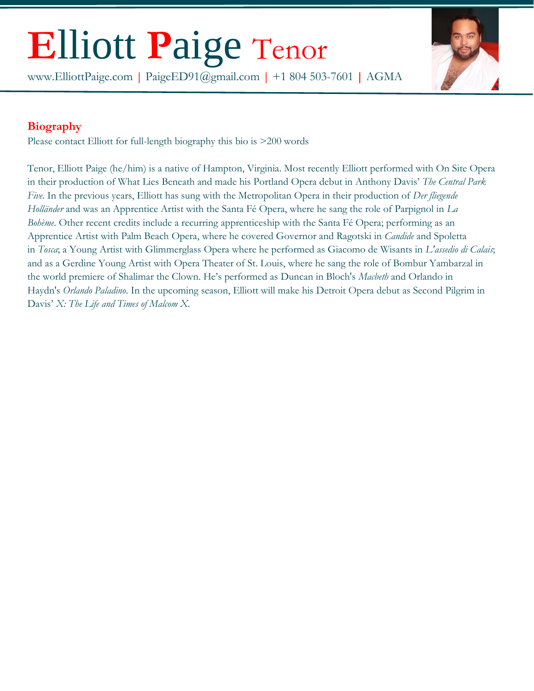### **E**lliott **P**aige Tenor

www.ElliottPaige.com **|** [PaigeED91@gmail.com](mailto:PaigeED91@gmail.com%7C) **|** +1 804 503-7601 **|** AGMA



### **Biography**

Please contact Elliott for full-length biography this bio is >200 words

Tenor, Elliott Paige (he/him) is a native of Hampton, Virginia. Most recently Elliott performed with On Site Opera in their production of What Lies Beneath and made his Portland Opera debut in Anthony Davis' *The Central Park Five.* In the previous years, Elliott has sung with the Metropolitan Opera in their production of *Der fliegende Holländer* and was an Apprentice Artist with the Santa Fé Opera, where he sang the role of Parpignol in *La Bohème.* Other recent credits include a recurring apprenticeship with the Santa Fé Opera; performing as an Apprentice Artist with Palm Beach Opera, where he covered Governor and Ragotski in *Candide* and Spoletta in *Tosca*; a Young Artist with Glimmerglass Opera where he performed as Giacomo de Wisants in *L'assedio di Calais*; and as a Gerdine Young Artist with Opera Theater of St. Louis, where he sang the role of Bombur Yambarzal in the world premiere of Shalimar the Clown. He's performed as Duncan in Bloch's *Macbeth* and Orlando in Haydn's *Orlando Paladino*. In the upcoming season, Elliott will make his Detroit Opera debut as Second Pilgrim in Davis' *X: The Life and Times of Malcom X.*